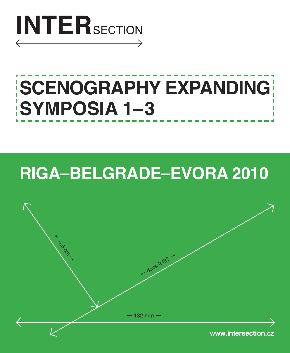

# **SCENOGRAPHY EXPANDING SYMPOSIA 1–3**

# **RIGA–BELGRADE–EVORA 2010**

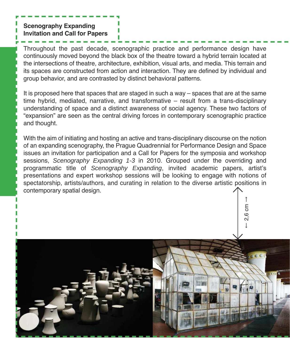**Scenography Expanding Invitation and Call for Papers**

Throughout the past decade, scenographic practice and performance design have continuously moved beyond the black box of the theatre toward a hybrid terrain located at the intersections of theatre, architecture, exhibition, visual arts, and media. This terrain and its spaces are constructed from action and interaction. They are defined by individual and group behavior, and are contrasted by distinct behavioral patterns.

It is proposed here that spaces that are staged in such a way – spaces that are at the same time hybrid, mediated, narrative, and transformative – result from a trans-disciplinary understanding of space and a distinct awareness of social agency. These two factors of "expansion" are seen as the central driving forces in contemporary scenographic practice and thought.

With the aim of initiating and hosting an active and trans-disciplinary discourse on the notion of an expanding scenography, the Prague Quadrennial for Performance Design and Space issues an invitation for participation and a Call for Papers for the symposia and workshop sessions, *Scenography Expanding 1-3* in 2010. Grouped under the overriding and programmatic title of *Scenography Expanding*, invited academic papers, artist's presentations and expert workshop sessions will be looking to engage with notions of spectatorship, artists/authors, and curating in relation to the diverse artistic positions in contemporary spatial design.

> ← $-2.6$  cm

ςî

→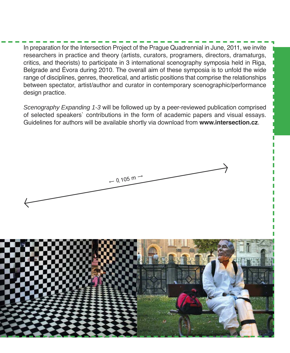In preparation for the Intersection Project of the Prague Quadrennial in June, 2011, we invite researchers in practice and theory (artists, curators, programers, directors, dramaturgs, critics, and theorists) to participate in 3 international scenography symposia held in Riga, Belgrade and Évora during 2010. The overall aim of these symposia is to unfold the wide range of disciplines, genres, theoretical, and artistic positions that comprise the relationships between spectator, artist/author and curator in contemporary scenographic/performance design practice.

*Scenography Expanding 1-3* will be followed up by a peer-reviewed publication comprised of selected speakers` contributions in the form of academic papers and visual essays. Guidelines for authors will be available shortly via download from **www.intersection.cz**.



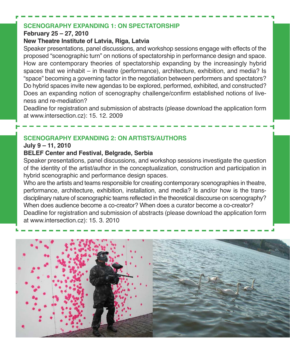#### **SCENOGRAPHY EXPANDING 1: ON SPECTATORSHIP**

#### **February 25 – 27, 2010**

#### **New Theatre Institute of Latvia, Riga, Latvia**

Speaker presentations, panel discussions, and workshop sessions engage with effects of the proposed "scenographic turn" on notions of spectatorship in performance design and space. How are contemporary theories of spectatorship expanding by the increasingly hybrid spaces that we inhabit – in theatre (performance), architecture, exhibition, and media? Is "space" becoming a governing factor in the negotiation between performers and spectators? Do hybrid spaces invite new agendas to be explored, performed, exhibited, and constructed? Does an expanding notion of scenography challenge/confirm established notions of liveness and re-mediation?

Deadline for registration and submission of abstracts (please download the application form at www.intersection.cz): 15. 12. 2009

# **SCENOGRAPHY EXPANDING 2: ON ARTISTS/AUTHORS**

#### **July 9 – 11, 2010**

### **BELEF Center and Festival, Belgrade, Serbia**

Speaker presentations, panel discussions, and workshop sessions investigate the question of the identity of the artist/author in the conceptualization, construction and participation in hybrid scenographic and performance design spaces.

Who are the artists and teams responsible for creating contemporary scenographies in theatre, performance, architecture, exhibition, installation, and media? Is and/or how is the transdisciplinary nature of scenographic teams reflected in the theoretical discourse on scenography? When does audience become a co-creator? When does a curator become a co-creator? Deadline for registration and submission of abstracts (please download the application form at www.intersection.cz): 15. 3. 2010

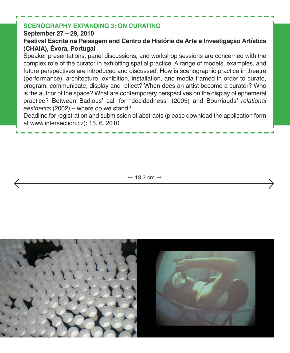# **SCENOGRAPHY EXPANDING 3: ON CURATING**

#### **September 27 – 29, 2010**

# **Festival Escrita na Paisagem and Centro de História da Arte e Investigação Artística (CHAIA), Évora, Portugal**

Speaker presentations, panel discussions, and workshop sessions are concerned with the complex role of the curator in exhibiting spatial practice. A range of models, examples, and future perspectives are introduced and discussed. How is scenographic practice in theatre (performance), architecture, exhibition, installation, and media framed in order to curate, program, communicate, display and reflect? When does an artist become a curator? Who is the author of the space? What are contemporary perspectives on the display of ephemeral practice? Between Badious' call for "decidedness" (2005) and Bourriauds' *relational aesthetics* (2002) – where do we stand?

Deadline for registration and submission of abstracts (please download the application form at www.intersection.cz): 15. 6. 2010

 $\leftarrow$  13.2 cm  $\rightarrow$